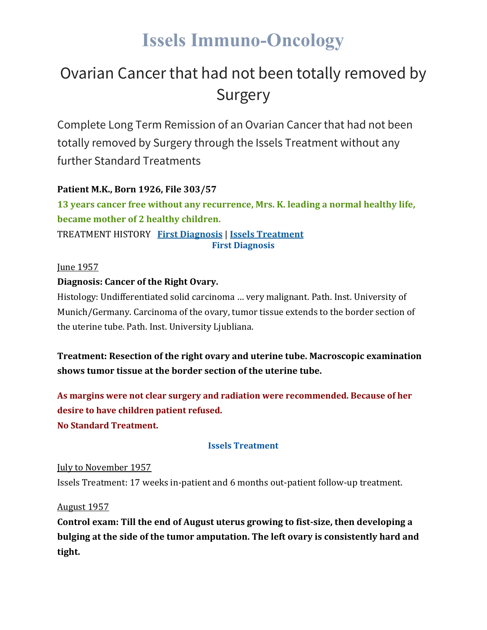# **Issels Immuno-Oncology**

## Ovarian Cancer that had not been totally removed by Surgery

Complete Long Term Remission of an Ovarian Cancer that had not been totally removed by Surgery through the Issels Treatment without any further Standard Treatments

### **Patient M.K., Born 1926, File 303/57**

**13 years cancer free without any recurrence, Mrs. K. leading a normal healthy life, became mother of 2 healthy children.** TREATMENT HISTORY **First [Diagnosis](https://issels.com/cancer-cases/ovarian-2-cancer-not-completely-removed-by-surgery/#First)** | **Issels [Treatment](https://issels.com/cancer-cases/ovarian-2-cancer-not-completely-removed-by-surgery/#Issels) First Diagnosis**

#### June 1957

### **Diagnosis: Cancer of the Right Ovary.**

Histology: Undifferentiated solid carcinoma … very malignant. Path. Inst. University of Munich/Germany. Carcinoma of the ovary, tumor tissue extends to the border section of the uterine tube. Path. Inst. University Ljubliana.

**Treatment: Resection of the right ovary and uterine tube. Macroscopic examination shows tumor tissue at the border section of the uterine tube.**

**As margins were not clear surgery and radiation were recommended. Because of her desire to have children patient refused. No Standard Treatment.**

#### **Issels Treatment**

July to November 1957 Issels Treatment: 17 weeks in-patient and 6 months out-patient follow-up treatment.

August 1957

**Control exam: Till the end of August uterus growing to fist-size, then developing a bulging at the side of the tumor amputation. The left ovary is consistently hard and tight.**